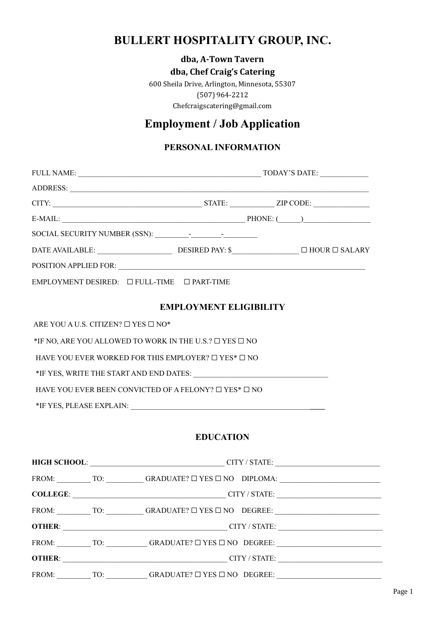# **BULLERT HOSPITALITY GROUP, INC.**

### **dba, A-Town Tavern**

#### **dba, Chef Craig's Catering**

600 Sheila Drive, Arlington, Minnesota, 55307 (507) 964-2212 Chefcraigscatering@gmail.com

# **Employment / Job Application**

### **PERSONAL INFORMATION**

| $E-MAIL:$ PHONE: $($ PHONE: $($ PHONE: $($ PHONE: $($ PHONE: $($ PHONE: $($ PHONE: $($ PHONE: $($ PHONE: $($ PHONE: $($ PHONE: $($ PHONE: $($ PHONE: $($ PHONE: $($ PHONE: $($ PHONE: $($ PHONE: $($ PHONE: $($ PHONE: $($ PHONE |  |  |  |
|----------------------------------------------------------------------------------------------------------------------------------------------------------------------------------------------------------------------------------|--|--|--|
|                                                                                                                                                                                                                                  |  |  |  |
|                                                                                                                                                                                                                                  |  |  |  |
|                                                                                                                                                                                                                                  |  |  |  |
| $EMPLOYMENT DESIRED: \Box FULL-TIME \Box PART-TIME$                                                                                                                                                                              |  |  |  |
| <b>EMPLOYMENT ELIGIBILITY</b>                                                                                                                                                                                                    |  |  |  |
| ARE YOU A U.S. CITIZEN? $\square$ YES $\square$ NO*                                                                                                                                                                              |  |  |  |
| *IF NO, ARE YOU ALLOWED TO WORK IN THE U.S.? $\square$ YES $\square$ NO                                                                                                                                                          |  |  |  |
| HAVE YOU EVER WORKED FOR THIS EMPLOYER? $\Box$ YES* $\Box$ NO                                                                                                                                                                    |  |  |  |
|                                                                                                                                                                                                                                  |  |  |  |

HAVE YOU EVER BEEN CONVICTED OF A FELONY?  $\Box$  YES\*  $\Box$  NO

\*IF YES, PLEASE EXPLAIN: \_\_\_\_\_\_\_\_\_\_\_\_\_\_\_\_\_\_\_\_\_\_\_\_\_\_\_\_\_\_\_\_\_\_\_\_\_\_\_\_\_\_\_\_\_\_\_\_**\_\_\_\_**

### **EDUCATION**

|               | HIGH SCHOOL: CITY / STATE:                                                                                                 |
|---------------|----------------------------------------------------------------------------------------------------------------------------|
|               |                                                                                                                            |
|               | COLLEGE: COLLEGE: CITY/STATE:                                                                                              |
|               | FROM: $\qquad \qquad \text{TO:} \qquad \qquad \text{GRADUATE?} \square \text{YES } \square \text{NO} \quad \text{DEGREE:}$ |
| <b>OTHER:</b> | <b>CITY / STATE:</b>                                                                                                       |
|               | FROM: TO: GRADUATE? $\square$ YES $\square$ NO DEGREE:                                                                     |
|               | <b>OTHER:</b> CITY / STATE:                                                                                                |
|               | FROM: TO: GRADUATE? $\square$ YES $\square$ NO DEGREE:                                                                     |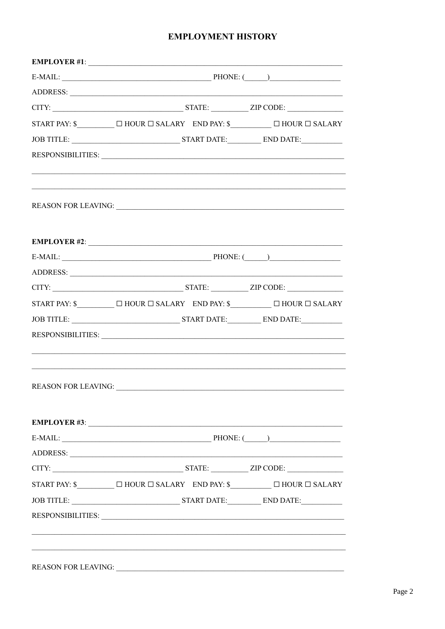#### **EMPLOYMENT HISTORY**

|                                       |                      |  | $E\text{-}{\sf MALL:}\begin{picture}(180,10) \put(0,0){\vector(1,0){100}} \put(1,0){\vector(1,0){100}} \put(1,0){\vector(1,0){100}} \put(1,0){\vector(1,0){100}} \put(1,0){\vector(1,0){100}} \put(1,0){\vector(1,0){100}} \put(1,0){\vector(1,0){100}} \put(1,0){\vector(1,0){100}} \put(1,0){\vector(1,0){100}} \put(1,0){\vector(1,0){100}} \put(1,0){\vector(1,0){100}}$ |
|---------------------------------------|----------------------|--|------------------------------------------------------------------------------------------------------------------------------------------------------------------------------------------------------------------------------------------------------------------------------------------------------------------------------------------------------------------------------|
|                                       |                      |  |                                                                                                                                                                                                                                                                                                                                                                              |
|                                       |                      |  |                                                                                                                                                                                                                                                                                                                                                                              |
|                                       |                      |  |                                                                                                                                                                                                                                                                                                                                                                              |
|                                       |                      |  |                                                                                                                                                                                                                                                                                                                                                                              |
|                                       |                      |  |                                                                                                                                                                                                                                                                                                                                                                              |
|                                       |                      |  | RESPONSIBILITIES:                                                                                                                                                                                                                                                                                                                                                            |
|                                       |                      |  |                                                                                                                                                                                                                                                                                                                                                                              |
| EMPLOYER #2: $\overline{\phantom{a}}$ |                      |  |                                                                                                                                                                                                                                                                                                                                                                              |
|                                       |                      |  | $E-MAIL:$ PHONE: $\qquad \qquad$ PHONE: $\qquad \qquad$                                                                                                                                                                                                                                                                                                                      |
| ADDRESS:                              |                      |  |                                                                                                                                                                                                                                                                                                                                                                              |
|                                       |                      |  |                                                                                                                                                                                                                                                                                                                                                                              |
|                                       |                      |  | START PAY: $\$\qquad \Box$ HOUR $\Box$ SALARY END PAY: $\$\qquad \Box$ HOUR $\Box$ SALARY                                                                                                                                                                                                                                                                                    |
|                                       |                      |  |                                                                                                                                                                                                                                                                                                                                                                              |
|                                       |                      |  | RESPONSIBILITIES: University of the Community of the Community of the Community of the Community of the Community of the Community of the Community of the Community of the Community of the Community of the Community of the                                                                                                                                               |
| <b>REASON FOR LEAVING:</b>            |                      |  |                                                                                                                                                                                                                                                                                                                                                                              |
|                                       |                      |  |                                                                                                                                                                                                                                                                                                                                                                              |
|                                       | $E-MAIL:$ PHONE: $($ |  |                                                                                                                                                                                                                                                                                                                                                                              |
| ADDRESS:                              |                      |  |                                                                                                                                                                                                                                                                                                                                                                              |
|                                       |                      |  | CITY: ZIP CODE:                                                                                                                                                                                                                                                                                                                                                              |
|                                       |                      |  | START PAY: \$_____________ $\Box$ HOUR $\Box$ SALARY END PAY: \$______________ $\Box$ HOUR $\Box$ SALARY                                                                                                                                                                                                                                                                     |
|                                       |                      |  |                                                                                                                                                                                                                                                                                                                                                                              |
|                                       |                      |  |                                                                                                                                                                                                                                                                                                                                                                              |
|                                       |                      |  |                                                                                                                                                                                                                                                                                                                                                                              |
|                                       |                      |  |                                                                                                                                                                                                                                                                                                                                                                              |
| <b>REASON FOR LEAVING:</b>            |                      |  |                                                                                                                                                                                                                                                                                                                                                                              |